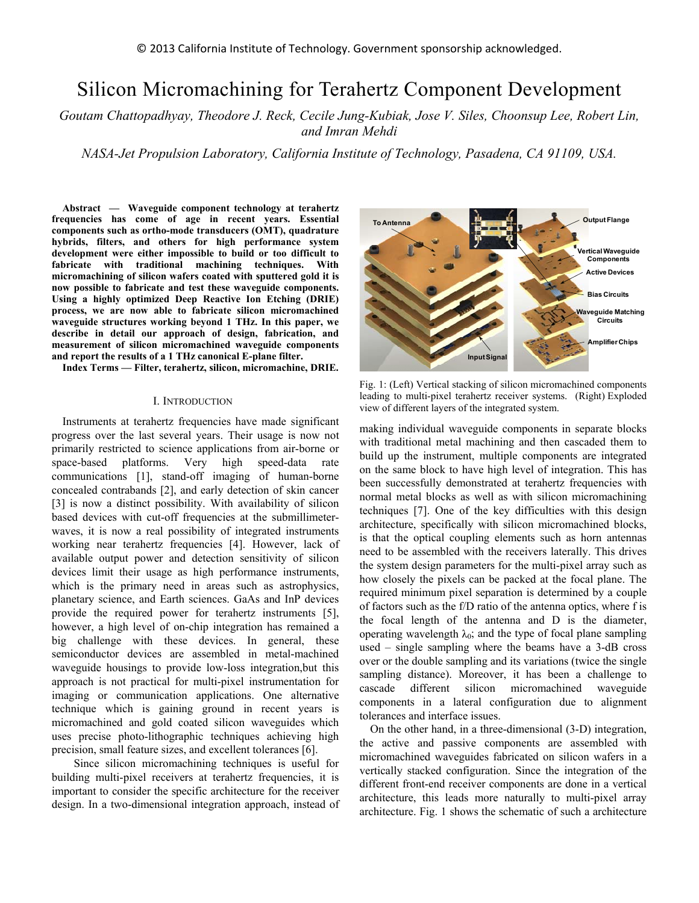# Silicon Micromachining for Terahertz Component Development

*Goutam Chattopadhyay, Theodore J. Reck, Cecile Jung-Kubiak, Jose V. Siles, Choonsup Lee, Robert Lin, and Imran Mehdi* 

*NASA-Jet Propulsion Laboratory, California Institute of Technology, Pasadena, CA 91109, USA.* 

**Abstract — Waveguide component technology at terahertz frequencies has come of age in recent years. Essential components such as ortho-mode transducers (OMT), quadrature hybrids, filters, and others for high performance system development were either impossible to build or too difficult to fabricate with traditional machining techniques. With micromachining of silicon wafers coated with sputtered gold it is now possible to fabricate and test these waveguide components. Using a highly optimized Deep Reactive Ion Etching (DRIE) process, we are now able to fabricate silicon micromachined waveguide structures working beyond 1 THz. In this paper, we describe in detail our approach of design, fabrication, and measurement of silicon micromachined waveguide components and report the results of a 1 THz canonical E-plane filter.** 

**Index Terms — Filter, terahertz, silicon, micromachine, DRIE.** 

# I. INTRODUCTION

Instruments at terahertz frequencies have made significant progress over the last several years. Their usage is now not primarily restricted to science applications from air-borne or space-based platforms. Very high speed-data rate communications [1], stand-off imaging of human-borne concealed contrabands [2], and early detection of skin cancer [3] is now a distinct possibility. With availability of silicon based devices with cut-off frequencies at the submillimeterwaves, it is now a real possibility of integrated instruments working near terahertz frequencies [4]. However, lack of available output power and detection sensitivity of silicon devices limit their usage as high performance instruments, which is the primary need in areas such as astrophysics, planetary science, and Earth sciences. GaAs and InP devices provide the required power for terahertz instruments [5], however, a high level of on-chip integration has remained a big challenge with these devices. In general, these semiconductor devices are assembled in metal-machined waveguide housings to provide low-loss integration,but this approach is not practical for multi-pixel instrumentation for imaging or communication applications. One alternative technique which is gaining ground in recent years is micromachined and gold coated silicon waveguides which uses precise photo-lithographic techniques achieving high precision, small feature sizes, and excellent tolerances [6].

 Since silicon micromachining techniques is useful for building multi-pixel receivers at terahertz frequencies, it is important to consider the specific architecture for the receiver design. In a two-dimensional integration approach, instead of



Fig. 1: (Left) Vertical stacking of silicon micromachined components leading to multi-pixel terahertz receiver systems. (Right) Exploded view of different layers of the integrated system.

making individual waveguide components in separate blocks with traditional metal machining and then cascaded them to build up the instrument, multiple components are integrated on the same block to have high level of integration. This has been successfully demonstrated at terahertz frequencies with normal metal blocks as well as with silicon micromachining techniques [7]. One of the key difficulties with this design architecture, specifically with silicon micromachined blocks, is that the optical coupling elements such as horn antennas need to be assembled with the receivers laterally. This drives the system design parameters for the multi-pixel array such as how closely the pixels can be packed at the focal plane. The required minimum pixel separation is determined by a couple of factors such as the f/D ratio of the antenna optics, where f is the focal length of the antenna and D is the diameter, operating wavelength  $\lambda_0$ ; and the type of focal plane sampling used – single sampling where the beams have a 3-dB cross over or the double sampling and its variations (twice the single sampling distance). Moreover, it has been a challenge to cascade different silicon micromachined waveguide components in a lateral configuration due to alignment tolerances and interface issues.

On the other hand, in a three-dimensional (3-D) integration, the active and passive components are assembled with micromachined waveguides fabricated on silicon wafers in a vertically stacked configuration. Since the integration of the different front-end receiver components are done in a vertical architecture, this leads more naturally to multi-pixel array architecture. Fig. 1 shows the schematic of such a architecture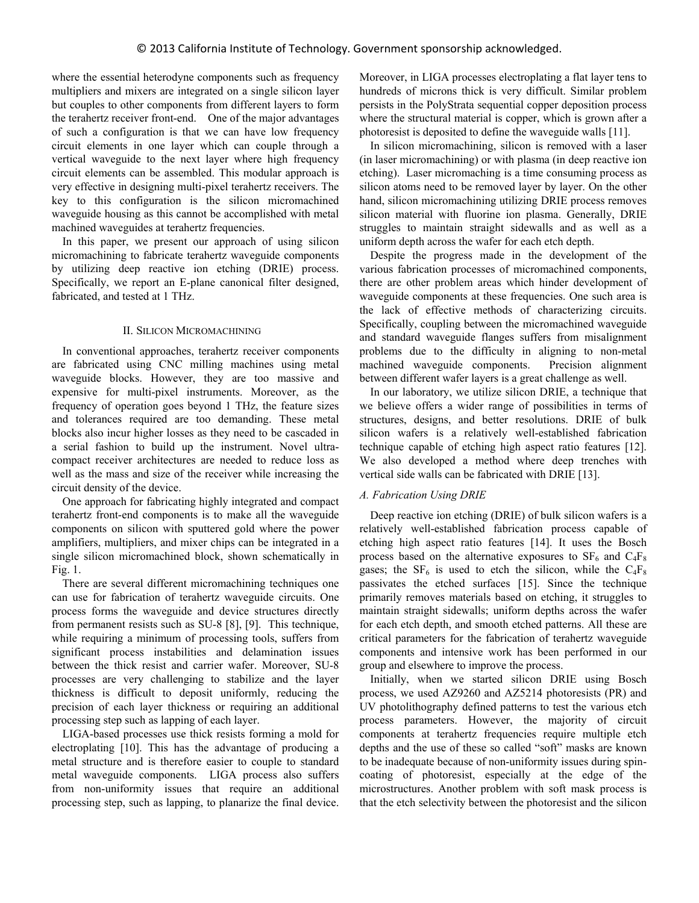where the essential heterodyne components such as frequency multipliers and mixers are integrated on a single silicon layer but couples to other components from different layers to form the terahertz receiver front-end. One of the major advantages of such a configuration is that we can have low frequency circuit elements in one layer which can couple through a vertical waveguide to the next layer where high frequency circuit elements can be assembled. This modular approach is very effective in designing multi-pixel terahertz receivers. The key to this configuration is the silicon micromachined waveguide housing as this cannot be accomplished with metal machined waveguides at terahertz frequencies.

In this paper, we present our approach of using silicon micromachining to fabricate terahertz waveguide components by utilizing deep reactive ion etching (DRIE) process. Specifically, we report an E-plane canonical filter designed, fabricated, and tested at 1 THz.

## II. SILICON MICROMACHINING

In conventional approaches, terahertz receiver components are fabricated using CNC milling machines using metal waveguide blocks. However, they are too massive and expensive for multi-pixel instruments. Moreover, as the frequency of operation goes beyond 1 THz, the feature sizes and tolerances required are too demanding. These metal blocks also incur higher losses as they need to be cascaded in a serial fashion to build up the instrument. Novel ultracompact receiver architectures are needed to reduce loss as well as the mass and size of the receiver while increasing the circuit density of the device.

One approach for fabricating highly integrated and compact terahertz front-end components is to make all the waveguide components on silicon with sputtered gold where the power amplifiers, multipliers, and mixer chips can be integrated in a single silicon micromachined block, shown schematically in Fig. 1.

There are several different micromachining techniques one can use for fabrication of terahertz waveguide circuits. One process forms the waveguide and device structures directly from permanent resists such as SU-8 [8], [9]. This technique, while requiring a minimum of processing tools, suffers from significant process instabilities and delamination issues between the thick resist and carrier wafer. Moreover, SU-8 processes are very challenging to stabilize and the layer thickness is difficult to deposit uniformly, reducing the precision of each layer thickness or requiring an additional processing step such as lapping of each layer.

LIGA-based processes use thick resists forming a mold for electroplating [10]. This has the advantage of producing a metal structure and is therefore easier to couple to standard metal waveguide components. LIGA process also suffers from non-uniformity issues that require an additional processing step, such as lapping, to planarize the final device. Moreover, in LIGA processes electroplating a flat layer tens to hundreds of microns thick is very difficult. Similar problem persists in the PolyStrata sequential copper deposition process where the structural material is copper, which is grown after a photoresist is deposited to define the waveguide walls [11].

In silicon micromachining, silicon is removed with a laser (in laser micromachining) or with plasma (in deep reactive ion etching). Laser micromaching is a time consuming process as silicon atoms need to be removed layer by layer. On the other hand, silicon micromachining utilizing DRIE process removes silicon material with fluorine ion plasma. Generally, DRIE struggles to maintain straight sidewalls and as well as a uniform depth across the wafer for each etch depth.

Despite the progress made in the development of the various fabrication processes of micromachined components, there are other problem areas which hinder development of waveguide components at these frequencies. One such area is the lack of effective methods of characterizing circuits. Specifically, coupling between the micromachined waveguide and standard waveguide flanges suffers from misalignment problems due to the difficulty in aligning to non-metal machined waveguide components. Precision alignment between different wafer layers is a great challenge as well.

In our laboratory, we utilize silicon DRIE, a technique that we believe offers a wider range of possibilities in terms of structures, designs, and better resolutions. DRIE of bulk silicon wafers is a relatively well-established fabrication technique capable of etching high aspect ratio features [12]. We also developed a method where deep trenches with vertical side walls can be fabricated with DRIE [13].

## *A. Fabrication Using DRIE*

Deep reactive ion etching (DRIE) of bulk silicon wafers is a relatively well-established fabrication process capable of etching high aspect ratio features [14]. It uses the Bosch process based on the alternative exposures to  $SF_6$  and  $C_4F_8$ gases; the  $SF_6$  is used to etch the silicon, while the  $C_4F_8$ passivates the etched surfaces [15]. Since the technique primarily removes materials based on etching, it struggles to maintain straight sidewalls; uniform depths across the wafer for each etch depth, and smooth etched patterns. All these are critical parameters for the fabrication of terahertz waveguide components and intensive work has been performed in our group and elsewhere to improve the process.

Initially, when we started silicon DRIE using Bosch process, we used AZ9260 and AZ5214 photoresists (PR) and UV photolithography defined patterns to test the various etch process parameters. However, the majority of circuit components at terahertz frequencies require multiple etch depths and the use of these so called "soft" masks are known to be inadequate because of non-uniformity issues during spincoating of photoresist, especially at the edge of the microstructures. Another problem with soft mask process is that the etch selectivity between the photoresist and the silicon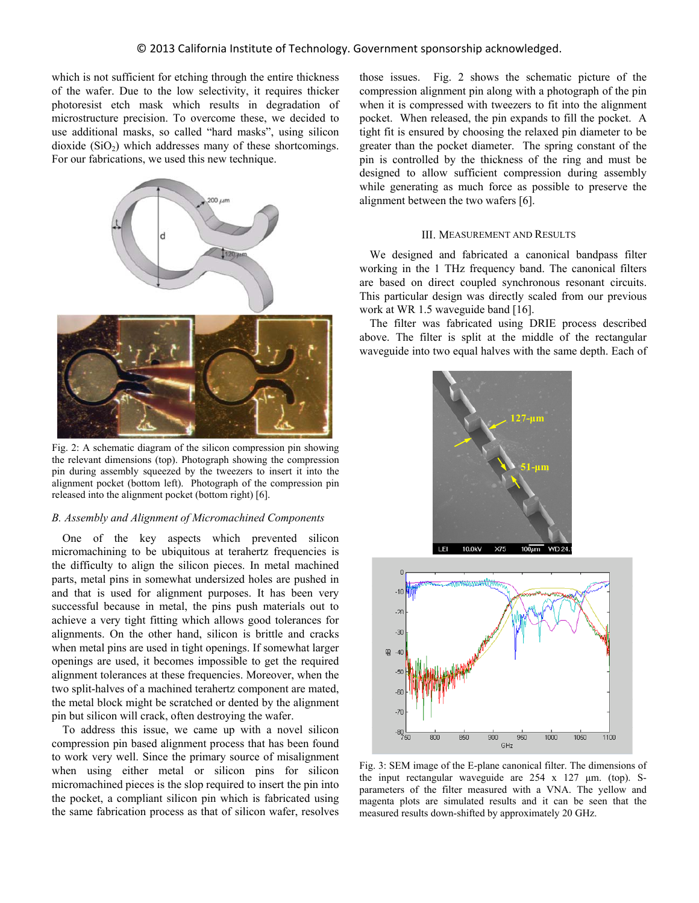which is not sufficient for etching through the entire thickness of the wafer. Due to the low selectivity, it requires thicker photoresist etch mask which results in degradation of microstructure precision. To overcome these, we decided to use additional masks, so called "hard masks", using silicon dioxide  $(SiO<sub>2</sub>)$  which addresses many of these shortcomings. For our fabrications, we used this new technique.



Fig. 2: A schematic diagram of the silicon compression pin showing the relevant dimensions (top). Photograph showing the compression pin during assembly squeezed by the tweezers to insert it into the alignment pocket (bottom left). Photograph of the compression pin released into the alignment pocket (bottom right) [6].

## *B. Assembly and Alignment of Micromachined Components*

One of the key aspects which prevented silicon micromachining to be ubiquitous at terahertz frequencies is the difficulty to align the silicon pieces. In metal machined parts, metal pins in somewhat undersized holes are pushed in and that is used for alignment purposes. It has been very successful because in metal, the pins push materials out to achieve a very tight fitting which allows good tolerances for alignments. On the other hand, silicon is brittle and cracks when metal pins are used in tight openings. If somewhat larger openings are used, it becomes impossible to get the required alignment tolerances at these frequencies. Moreover, when the two split-halves of a machined terahertz component are mated, the metal block might be scratched or dented by the alignment pin but silicon will crack, often destroying the wafer.

To address this issue, we came up with a novel silicon compression pin based alignment process that has been found to work very well. Since the primary source of misalignment when using either metal or silicon pins for silicon micromachined pieces is the slop required to insert the pin into the pocket, a compliant silicon pin which is fabricated using the same fabrication process as that of silicon wafer, resolves

those issues. Fig. 2 shows the schematic picture of the compression alignment pin along with a photograph of the pin when it is compressed with tweezers to fit into the alignment pocket. When released, the pin expands to fill the pocket. A tight fit is ensured by choosing the relaxed pin diameter to be greater than the pocket diameter. The spring constant of the pin is controlled by the thickness of the ring and must be designed to allow sufficient compression during assembly while generating as much force as possible to preserve the alignment between the two wafers [6].

#### III. MEASUREMENT AND RESULTS

We designed and fabricated a canonical bandpass filter working in the 1 THz frequency band. The canonical filters are based on direct coupled synchronous resonant circuits. This particular design was directly scaled from our previous work at WR 1.5 waveguide band [16].

The filter was fabricated using DRIE process described above. The filter is split at the middle of the rectangular waveguide into two equal halves with the same depth. Each of





Fig. 3: SEM image of the E-plane canonical filter. The dimensions of the input rectangular waveguide are 254 x 127 μm. (top). Sparameters of the filter measured with a VNA. The yellow and magenta plots are simulated results and it can be seen that the measured results down-shifted by approximately 20 GHz.